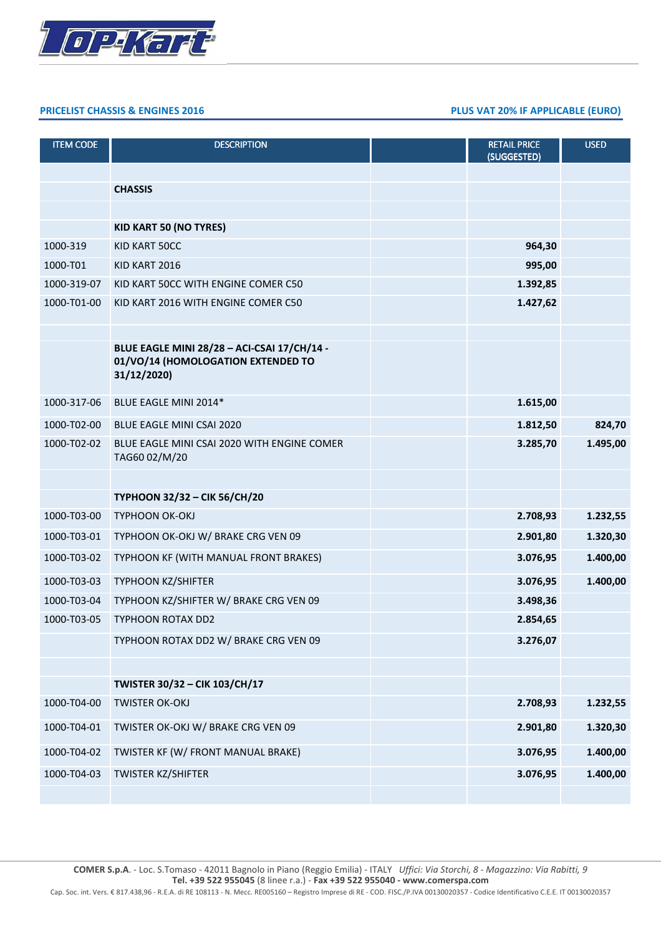

## **PRICELIST CHASSIS & ENGINES 2016 PLUS VAT 20% IF APPLICABLE (EURO)**

| <b>ITEM CODE</b>     | <b>DESCRIPTION</b>                                           | <b>RETAIL PRICE</b><br>(SUGGESTED) | <b>USED</b> |
|----------------------|--------------------------------------------------------------|------------------------------------|-------------|
|                      |                                                              |                                    |             |
|                      | <b>CHASSIS</b>                                               |                                    |             |
|                      |                                                              |                                    |             |
|                      | <b>KID KART 50 (NO TYRES)</b>                                |                                    |             |
| 1000-319<br>1000-T01 | KID KART 50CC<br>KID KART 2016                               | 964,30<br>995,00                   |             |
| 1000-319-07          | KID KART 50CC WITH ENGINE COMER C50                          | 1.392,85                           |             |
| 1000-T01-00          | KID KART 2016 WITH ENGINE COMER C50                          | 1.427,62                           |             |
|                      |                                                              |                                    |             |
|                      | BLUE EAGLE MINI 28/28 - ACI-CSAI 17/CH/14 -                  |                                    |             |
|                      | 01/VO/14 (HOMOLOGATION EXTENDED TO<br>31/12/2020)            |                                    |             |
| 1000-317-06          | BLUE EAGLE MINI 2014*                                        | 1.615,00                           |             |
| 1000-T02-00          | <b>BLUE EAGLE MINI CSAI 2020</b>                             | 1.812,50                           | 824,70      |
| 1000-T02-02          | BLUE EAGLE MINI CSAI 2020 WITH ENGINE COMER<br>TAG60 02/M/20 | 3.285,70                           | 1.495,00    |
|                      |                                                              |                                    |             |
|                      | TYPHOON 32/32 - CIK 56/CH/20                                 |                                    |             |
| 1000-T03-00          | <b>TYPHOON OK-OKJ</b>                                        | 2.708,93                           | 1.232,55    |
| 1000-T03-01          | TYPHOON OK-OKJ W/ BRAKE CRG VEN 09                           | 2.901,80                           | 1.320,30    |
| 1000-T03-02          | TYPHOON KF (WITH MANUAL FRONT BRAKES)                        | 3.076,95                           | 1.400,00    |
| 1000-T03-03          | TYPHOON KZ/SHIFTER                                           | 3.076,95                           | 1.400,00    |
| 1000-T03-04          | TYPHOON KZ/SHIFTER W/ BRAKE CRG VEN 09                       | 3.498,36                           |             |
| 1000-T03-05          | <b>TYPHOON ROTAX DD2</b>                                     | 2.854,65                           |             |
|                      | TYPHOON ROTAX DD2 W/ BRAKE CRG VEN 09                        | 3.276,07                           |             |
|                      |                                                              |                                    |             |
|                      | TWISTER 30/32 - CIK 103/CH/17                                |                                    |             |
| 1000-T04-00          | TWISTER OK-OKJ                                               | 2.708,93                           | 1.232,55    |
| 1000-T04-01          | TWISTER OK-OKJ W/ BRAKE CRG VEN 09                           | 2.901,80                           | 1.320,30    |
| 1000-T04-02          | TWISTER KF (W/ FRONT MANUAL BRAKE)                           | 3.076,95                           | 1.400,00    |
| 1000-T04-03          | TWISTER KZ/SHIFTER                                           | 3.076,95                           | 1.400,00    |
|                      |                                                              |                                    |             |